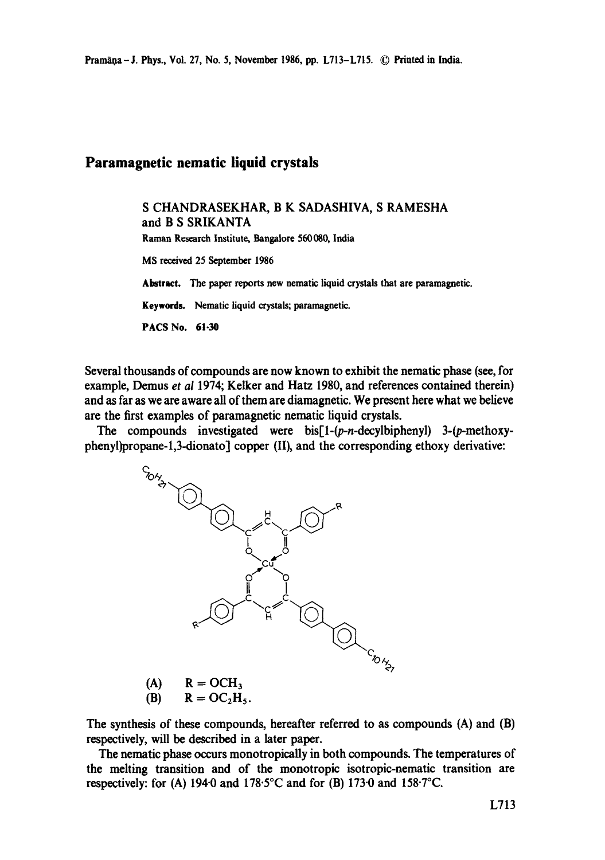## **Paramagnetic nematic liquid crystals**

S CHANDRASEKHAR, B K SADASHIVA, S RAMESHA and B S SRIKANTA Raman Research Institute, Bangalore 560080, India MS received 25 September 1986 **Abstract.** The paper reports new nematic liquid crystals that are paramagnetic. Keywords. Nematic liquid crystals; paramagnetic. **PACS** No. 61.30

Several thousands of compounds are now known to exhibit the nematic phase (see, for example, Demus *et al* 1974; Kelker and Hatz 1980, and references contained therein) and as far as we are aware all of them are diamagnetic. We present here what we believe are the first examples of paramagnetic nematic liquid crystals.

The compounds investigated were  $bis[1-(p-n-decylbipheny]$  3-(p-methoxyphenyl)propane-l,3-dionatol copper (II), and the corresponding ethoxy derivative:



$$
\begin{array}{ll}\n\text{(A)} & \text{R} = \text{OCI}_3 \\
\text{(B)} & \text{R} = \text{OC}_2 \text{H}_5\n\end{array}
$$

The synthesis of these compounds, hereafter referred to as compounds (A) and (B) respectively, will be described in a later paper.

The nematic phase occurs monotropically in both compounds. The temperatures of the melting transition and of the monotropic isotropic-nematic transition are respectively: for (A) 1940 and 178.5°C and for (B) 1730 and 158.7°C.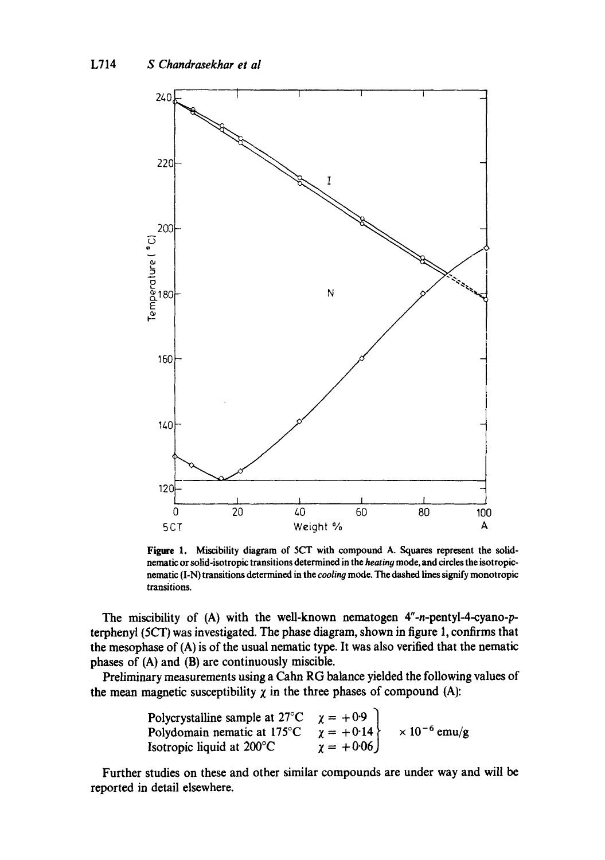

Figure 1. Miscibility diagram of 5CT with compound A. Squares represent the solidnematic or solid-isotropic transitions determined in the *heating* mode, and circles the isotropicnematic (I-N) transitions determined in the *cooling* mode. The dashed lines signify monotropic transitions.

The miscibility of (A) with the well-known nematogen *4"-n-pentyl-4-cyano-p*terphcnyl (5CT) was investigated. The phase diagram, shown in figure 1, confirms that the mesophase of (A) is of the usual nematic type. It was also verified that the nematic phases of (A) and (B) are continuously miscible.

Preliminary measurements using a Cahn RG balance yielded the following values of the mean magnetic susceptibility  $\chi$  in the three phases of compound (A):

Polycrystalline sample at 27°C 
$$
\chi = +0.9
$$

\nPolydomain nematic at 175°C  $\chi = +0.14$   $\times 10^{-6}$  emu/g

\nIsotropic liquid at 200°C  $\chi = +0.06$ 

Further studies on these and other similar compounds are under way and will be reported in detail elsewhere.